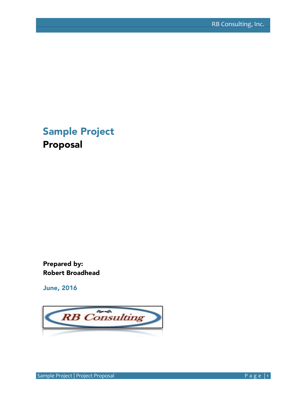# Sample Project Proposal

Prepared by: Robert Broadhead

June, 2016

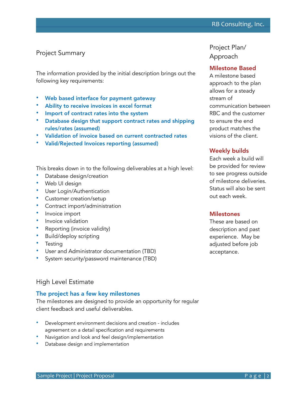## Project Summary

The information provided by the initial description brings out the following key requirements:

- Web based interface for payment gateway
- Ability to receive invoices in excel format
- Import of contract rates into the system
- Database design that support contract rates and shipping rules/rates (assumed)
- Validation of invoice based on current contracted rates
- Valid/Rejected Invoices reporting (assumed)

This breaks down in to the following deliverables at a high level:

- Database design/creation
- Web UI design
- User Login/Authentication
- Customer creation/setup
- Contract import/administration
- Invoice import
- Invoice validation
- Reporting (invoice validity)
- Build/deploy scripting
- Testing
- User and Administrator documentation (TBD)
- System security/password maintenance (TBD)

## High Level Estimate

#### The project has a few key milestones

The milestones are designed to provide an opportunity for regular client feedback and useful deliverables.

- Development environment decisions and creation includes agreement on a detail specification and requirements
- Navigation and look and feel design/implementation
- Database design and implementation

Project Plan/ Approach

## Milestone Based

A milestone based approach to the plan allows for a steady stream of communication between RBC and the customer to ensure the end product matches the visions of the client.

#### Weekly builds

Each week a build will be provided for review to see progress outside of milestone deliveries. Status will also be sent out each week.

#### **Milestones**

These are based on description and past experience. May be adjusted before job acceptance.